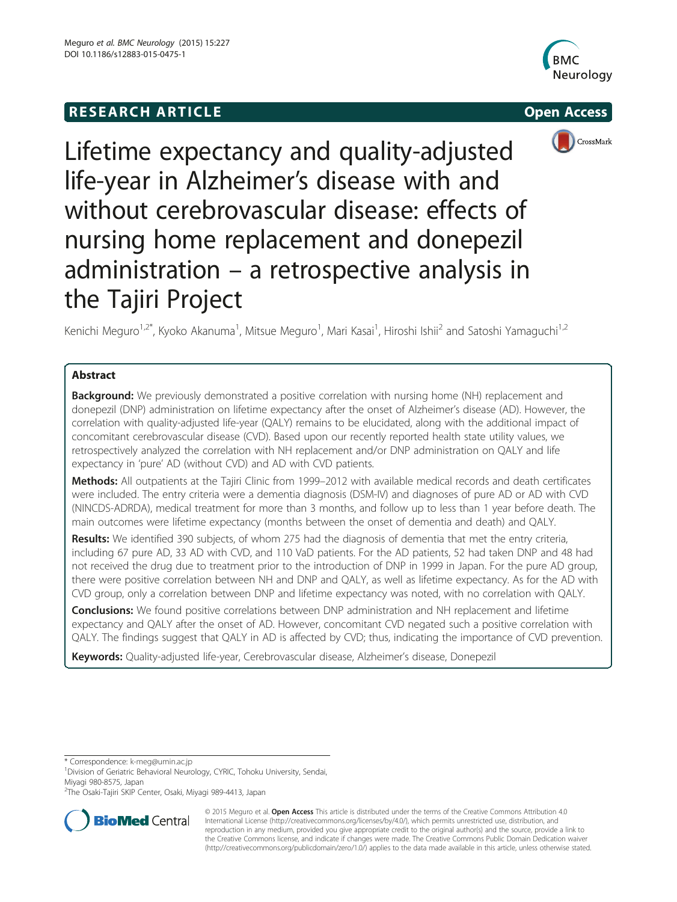# **RESEARCH ARTICLE Example 2014 The SEAR CH ACCESS**







Lifetime expectancy and quality-adjusted life-year in Alzheimer's disease with and without cerebrovascular disease: effects of nursing home replacement and donepezil administration – a retrospective analysis in the Tajiri Project

Kenichi Meguro<sup>1,2\*</sup>, Kyoko Akanuma<sup>1</sup>, Mitsue Meguro<sup>1</sup>, Mari Kasai<sup>1</sup>, Hiroshi Ishii<sup>2</sup> and Satoshi Yamaguchi<sup>1,2</sup>

## Abstract

**Background:** We previously demonstrated a positive correlation with nursing home (NH) replacement and donepezil (DNP) administration on lifetime expectancy after the onset of Alzheimer's disease (AD). However, the correlation with quality-adjusted life-year (QALY) remains to be elucidated, along with the additional impact of concomitant cerebrovascular disease (CVD). Based upon our recently reported health state utility values, we retrospectively analyzed the correlation with NH replacement and/or DNP administration on QALY and life expectancy in 'pure' AD (without CVD) and AD with CVD patients.

Methods: All outpatients at the Tajiri Clinic from 1999–2012 with available medical records and death certificates were included. The entry criteria were a dementia diagnosis (DSM-IV) and diagnoses of pure AD or AD with CVD (NINCDS-ADRDA), medical treatment for more than 3 months, and follow up to less than 1 year before death. The main outcomes were lifetime expectancy (months between the onset of dementia and death) and QALY.

Results: We identified 390 subjects, of whom 275 had the diagnosis of dementia that met the entry criteria, including 67 pure AD, 33 AD with CVD, and 110 VaD patients. For the AD patients, 52 had taken DNP and 48 had not received the drug due to treatment prior to the introduction of DNP in 1999 in Japan. For the pure AD group, there were positive correlation between NH and DNP and QALY, as well as lifetime expectancy. As for the AD with CVD group, only a correlation between DNP and lifetime expectancy was noted, with no correlation with QALY.

**Conclusions:** We found positive correlations between DNP administration and NH replacement and lifetime expectancy and QALY after the onset of AD. However, concomitant CVD negated such a positive correlation with QALY. The findings suggest that QALY in AD is affected by CVD; thus, indicating the importance of CVD prevention.

Keywords: Quality-adjusted life-year, Cerebrovascular disease, Alzheimer's disease, Donepezil

\* Correspondence: [k-meg@umin.ac.jp](mailto:k-meg@umin.ac.jp) <sup>1</sup>

<sup>1</sup> Division of Geriatric Behavioral Neurology, CYRIC, Tohoku University, Sendai, Miyagi 980-8575, Japan

<sup>2</sup> The Osaki-Tajiri SKIP Center, Osaki, Miyagi 989-4413, Japan



© 2015 Meguro et al. Open Access This article is distributed under the terms of the Creative Commons Attribution 4.0 International License [\(http://creativecommons.org/licenses/by/4.0/](http://creativecommons.org/licenses/by/4.0/)), which permits unrestricted use, distribution, and reproduction in any medium, provided you give appropriate credit to the original author(s) and the source, provide a link to the Creative Commons license, and indicate if changes were made. The Creative Commons Public Domain Dedication waiver [\(http://creativecommons.org/publicdomain/zero/1.0/](http://creativecommons.org/publicdomain/zero/1.0/)) applies to the data made available in this article, unless otherwise stated.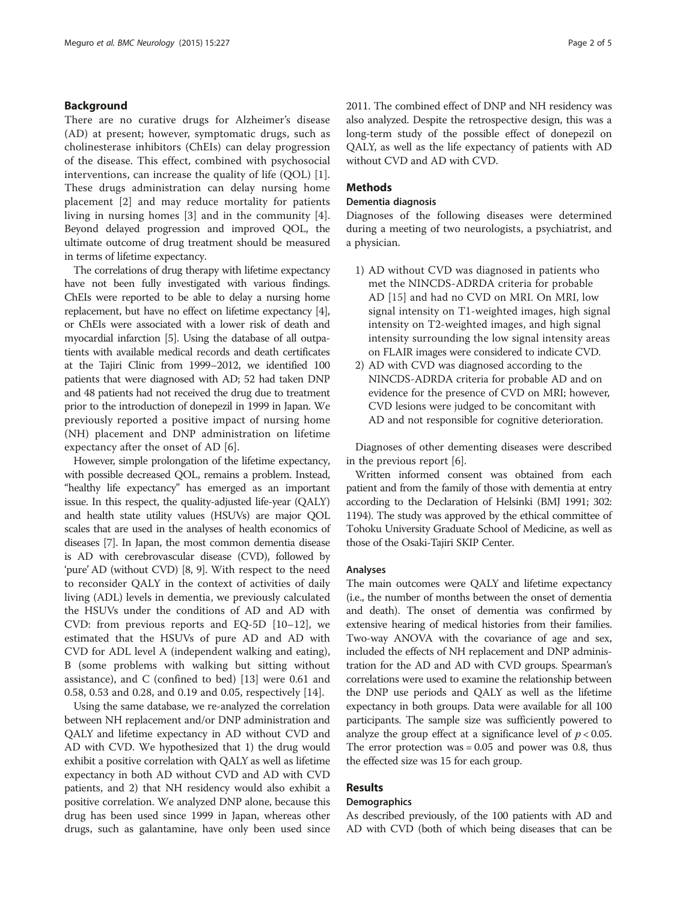#### Background

There are no curative drugs for Alzheimer's disease (AD) at present; however, symptomatic drugs, such as cholinesterase inhibitors (ChEIs) can delay progression of the disease. This effect, combined with psychosocial interventions, can increase the quality of life (QOL) [[1](#page-4-0)]. These drugs administration can delay nursing home placement [[2](#page-4-0)] and may reduce mortality for patients living in nursing homes [\[3](#page-4-0)] and in the community [\[4](#page-4-0)]. Beyond delayed progression and improved QOL, the ultimate outcome of drug treatment should be measured in terms of lifetime expectancy.

The correlations of drug therapy with lifetime expectancy have not been fully investigated with various findings. ChEIs were reported to be able to delay a nursing home replacement, but have no effect on lifetime expectancy [[4](#page-4-0)], or ChEIs were associated with a lower risk of death and myocardial infarction [[5\]](#page-4-0). Using the database of all outpatients with available medical records and death certificates at the Tajiri Clinic from 1999–2012, we identified 100 patients that were diagnosed with AD; 52 had taken DNP and 48 patients had not received the drug due to treatment prior to the introduction of donepezil in 1999 in Japan. We previously reported a positive impact of nursing home (NH) placement and DNP administration on lifetime expectancy after the onset of AD [\[6\]](#page-4-0).

However, simple prolongation of the lifetime expectancy, with possible decreased QOL, remains a problem. Instead, "healthy life expectancy" has emerged as an important issue. In this respect, the quality-adjusted life-year (QALY) and health state utility values (HSUVs) are major QOL scales that are used in the analyses of health economics of diseases [\[7\]](#page-4-0). In Japan, the most common dementia disease is AD with cerebrovascular disease (CVD), followed by 'pure' AD (without CVD) [\[8, 9\]](#page-4-0). With respect to the need to reconsider QALY in the context of activities of daily living (ADL) levels in dementia, we previously calculated the HSUVs under the conditions of AD and AD with CVD: from previous reports and EQ-5D [[10](#page-4-0)–[12\]](#page-4-0), we estimated that the HSUVs of pure AD and AD with CVD for ADL level A (independent walking and eating), B (some problems with walking but sitting without assistance), and C (confined to bed) [[13\]](#page-4-0) were 0.61 and 0.58, 0.53 and 0.28, and 0.19 and 0.05, respectively [\[14](#page-4-0)].

Using the same database, we re-analyzed the correlation between NH replacement and/or DNP administration and QALY and lifetime expectancy in AD without CVD and AD with CVD. We hypothesized that 1) the drug would exhibit a positive correlation with QALY as well as lifetime expectancy in both AD without CVD and AD with CVD patients, and 2) that NH residency would also exhibit a positive correlation. We analyzed DNP alone, because this drug has been used since 1999 in Japan, whereas other drugs, such as galantamine, have only been used since 2011. The combined effect of DNP and NH residency was also analyzed. Despite the retrospective design, this was a long-term study of the possible effect of donepezil on QALY, as well as the life expectancy of patients with AD without CVD and AD with CVD.

### **Methods**

#### Dementia diagnosis

Diagnoses of the following diseases were determined during a meeting of two neurologists, a psychiatrist, and a physician.

- 1) AD without CVD was diagnosed in patients who met the NINCDS-ADRDA criteria for probable AD [[15\]](#page-4-0) and had no CVD on MRI. On MRI, low signal intensity on T1-weighted images, high signal intensity on T2-weighted images, and high signal intensity surrounding the low signal intensity areas on FLAIR images were considered to indicate CVD.
- 2) AD with CVD was diagnosed according to the NINCDS-ADRDA criteria for probable AD and on evidence for the presence of CVD on MRI; however, CVD lesions were judged to be concomitant with AD and not responsible for cognitive deterioration.

Diagnoses of other dementing diseases were described in the previous report [\[6](#page-4-0)].

Written informed consent was obtained from each patient and from the family of those with dementia at entry according to the Declaration of Helsinki (BMJ 1991; 302: 1194). The study was approved by the ethical committee of Tohoku University Graduate School of Medicine, as well as those of the Osaki-Tajiri SKIP Center.

#### Analyses

The main outcomes were QALY and lifetime expectancy (i.e., the number of months between the onset of dementia and death). The onset of dementia was confirmed by extensive hearing of medical histories from their families. Two-way ANOVA with the covariance of age and sex, included the effects of NH replacement and DNP administration for the AD and AD with CVD groups. Spearman's correlations were used to examine the relationship between the DNP use periods and QALY as well as the lifetime expectancy in both groups. Data were available for all 100 participants. The sample size was sufficiently powered to analyze the group effect at a significance level of  $p < 0.05$ . The error protection was  $= 0.05$  and power was 0.8, thus the effected size was 15 for each group.

### Results

### **Demographics**

As described previously, of the 100 patients with AD and AD with CVD (both of which being diseases that can be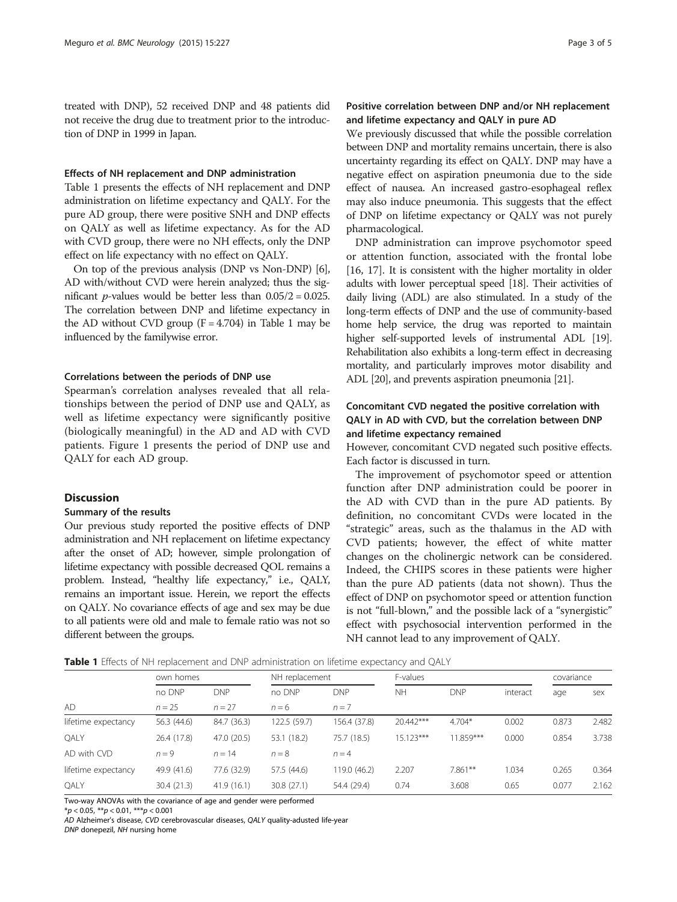treated with DNP), 52 received DNP and 48 patients did not receive the drug due to treatment prior to the introduction of DNP in 1999 in Japan.

#### Effects of NH replacement and DNP administration

Table 1 presents the effects of NH replacement and DNP administration on lifetime expectancy and QALY. For the pure AD group, there were positive SNH and DNP effects on QALY as well as lifetime expectancy. As for the AD with CVD group, there were no NH effects, only the DNP effect on life expectancy with no effect on QALY.

On top of the previous analysis (DNP vs Non-DNP) [[6](#page-4-0)], AD with/without CVD were herein analyzed; thus the significant *p*-values would be better less than  $0.05/2 = 0.025$ . The correlation between DNP and lifetime expectancy in the AD without CVD group  $(F = 4.704)$  in Table 1 may be influenced by the familywise error.

#### Correlations between the periods of DNP use

Spearman's correlation analyses revealed that all relationships between the period of DNP use and QALY, as well as lifetime expectancy were significantly positive (biologically meaningful) in the AD and AD with CVD patients. Figure [1](#page-3-0) presents the period of DNP use and QALY for each AD group.

### **Discussion**

### Summary of the results

Our previous study reported the positive effects of DNP administration and NH replacement on lifetime expectancy after the onset of AD; however, simple prolongation of lifetime expectancy with possible decreased QOL remains a problem. Instead, "healthy life expectancy," i.e., QALY, remains an important issue. Herein, we report the effects on QALY. No covariance effects of age and sex may be due to all patients were old and male to female ratio was not so different between the groups.

### Positive correlation between DNP and/or NH replacement and lifetime expectancy and QALY in pure AD

We previously discussed that while the possible correlation between DNP and mortality remains uncertain, there is also uncertainty regarding its effect on QALY. DNP may have a negative effect on aspiration pneumonia due to the side effect of nausea. An increased gastro-esophageal reflex may also induce pneumonia. This suggests that the effect of DNP on lifetime expectancy or QALY was not purely pharmacological.

DNP administration can improve psychomotor speed or attention function, associated with the frontal lobe [[16, 17](#page-4-0)]. It is consistent with the higher mortality in older adults with lower perceptual speed [[18](#page-4-0)]. Their activities of daily living (ADL) are also stimulated. In a study of the long-term effects of DNP and the use of community-based home help service, the drug was reported to maintain higher self-supported levels of instrumental ADL [\[19](#page-4-0)]. Rehabilitation also exhibits a long-term effect in decreasing mortality, and particularly improves motor disability and ADL [\[20\]](#page-4-0), and prevents aspiration pneumonia [[21\]](#page-4-0).

### Concomitant CVD negated the positive correlation with QALY in AD with CVD, but the correlation between DNP and lifetime expectancy remained

However, concomitant CVD negated such positive effects. Each factor is discussed in turn.

The improvement of psychomotor speed or attention function after DNP administration could be poorer in the AD with CVD than in the pure AD patients. By definition, no concomitant CVDs were located in the "strategic" areas, such as the thalamus in the AD with CVD patients; however, the effect of white matter changes on the cholinergic network can be considered. Indeed, the CHIPS scores in these patients were higher than the pure AD patients (data not shown). Thus the effect of DNP on psychomotor speed or attention function is not "full-blown," and the possible lack of a "synergistic" effect with psychosocial intervention performed in the NH cannot lead to any improvement of QALY.

**Table 1** Effects of NH replacement and DNP administration on lifetime expectancy and OALY

|                     | own homes   |             | NH replacement |              | F-values    |            |          | covariance |       |
|---------------------|-------------|-------------|----------------|--------------|-------------|------------|----------|------------|-------|
|                     | no DNP      | <b>DNP</b>  | no DNP         | <b>DNP</b>   | <b>NH</b>   | <b>DNP</b> | interact | age        | sex   |
| <b>AD</b>           | $n = 25$    | $n = 27$    | $n = 6$        | $n=7$        |             |            |          |            |       |
| lifetime expectancy | 56.3 (44.6) | 84.7 (36.3) | 122.5 (59.7)   | 156.4 (37.8) | 20.442***   | $4.704*$   | 0.002    | 0.873      | 2.482 |
| QALY                | 26.4 (17.8) | 47.0 (20.5) | 53.1 (18.2)    | 75.7 (18.5)  | $15.123***$ | 11.859***  | 0.000    | 0.854      | 3.738 |
| AD with CVD         | $n = 9$     | $n = 14$    | $n = 8$        | $n = 4$      |             |            |          |            |       |
| lifetime expectancy | 49.9 (41.6) | 77.6 (32.9) | 57.5 (44.6)    | 119.0 (46.2) | 2.207       | $7.861**$  | .034     | 0.265      | 0.364 |
| QALY                | 30.4(21.3)  | 41.9(16.1)  | 30.8 (27.1)    | 54.4 (29.4)  | 0.74        | 3.608      | 0.65     | 0.077      | 2.162 |
|                     |             |             |                |              |             |            |          |            |       |

Two-way ANOVAs with the covariance of age and gender were performed

 $*p < 0.05$ ,  $**p < 0.01$ ,  $***p < 0.001$ 

AD Alzheimer's disease, CVD cerebrovascular diseases, QALY quality-adusted life-year DNP donepezil, NH nursing home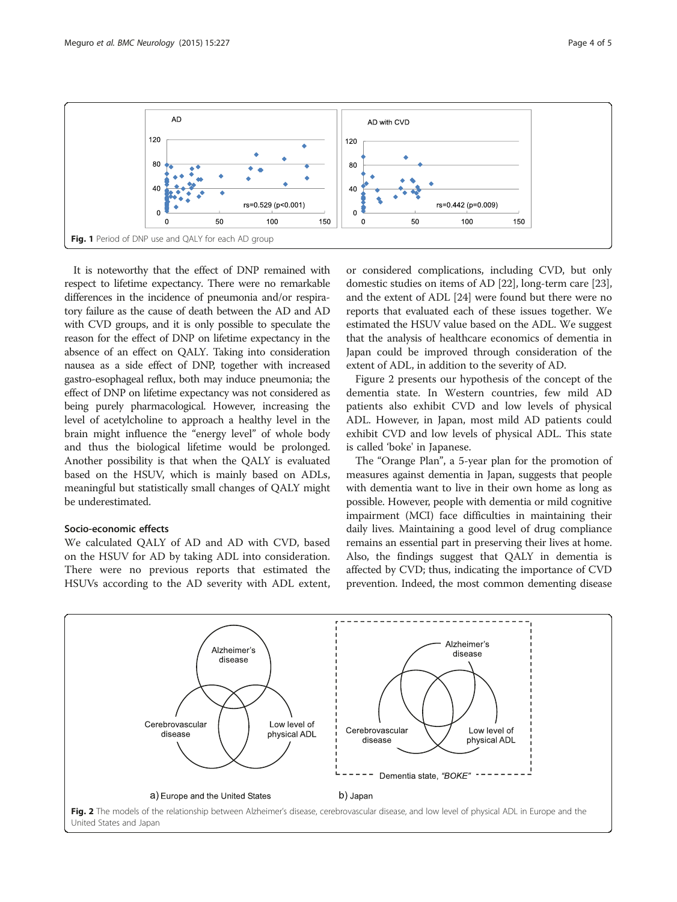

<span id="page-3-0"></span>

It is noteworthy that the effect of DNP remained with respect to lifetime expectancy. There were no remarkable differences in the incidence of pneumonia and/or respiratory failure as the cause of death between the AD and AD with CVD groups, and it is only possible to speculate the reason for the effect of DNP on lifetime expectancy in the absence of an effect on QALY. Taking into consideration nausea as a side effect of DNP, together with increased gastro-esophageal reflux, both may induce pneumonia; the effect of DNP on lifetime expectancy was not considered as being purely pharmacological. However, increasing the level of acetylcholine to approach a healthy level in the brain might influence the "energy level" of whole body and thus the biological lifetime would be prolonged. Another possibility is that when the QALY is evaluated based on the HSUV, which is mainly based on ADLs, meaningful but statistically small changes of QALY might be underestimated.

### Socio-economic effects

We calculated QALY of AD and AD with CVD, based on the HSUV for AD by taking ADL into consideration. There were no previous reports that estimated the HSUVs according to the AD severity with ADL extent,

or considered complications, including CVD, but only domestic studies on items of AD [\[22\]](#page-4-0), long-term care [[23](#page-4-0)], and the extent of ADL [\[24\]](#page-4-0) were found but there were no reports that evaluated each of these issues together. We estimated the HSUV value based on the ADL. We suggest that the analysis of healthcare economics of dementia in Japan could be improved through consideration of the extent of ADL, in addition to the severity of AD.

Figure 2 presents our hypothesis of the concept of the dementia state. In Western countries, few mild AD patients also exhibit CVD and low levels of physical ADL. However, in Japan, most mild AD patients could exhibit CVD and low levels of physical ADL. This state is called 'boke' in Japanese.

The "Orange Plan", a 5-year plan for the promotion of measures against dementia in Japan, suggests that people with dementia want to live in their own home as long as possible. However, people with dementia or mild cognitive impairment (MCI) face difficulties in maintaining their daily lives. Maintaining a good level of drug compliance remains an essential part in preserving their lives at home. Also, the findings suggest that QALY in dementia is affected by CVD; thus, indicating the importance of CVD prevention. Indeed, the most common dementing disease